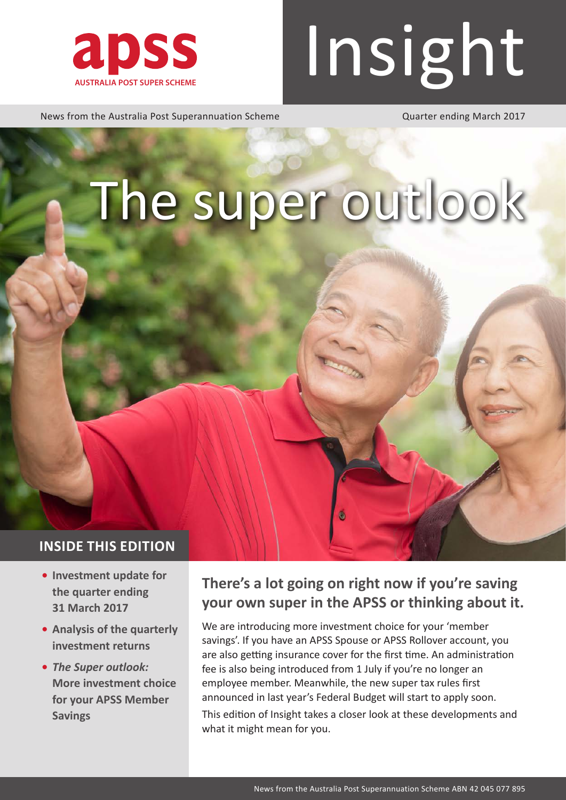

# **ADSS Insight**

News from the Australia Post Superannuation Scheme<br>
Quarter ending March 2017

## The super outlook

#### **INSIDE THIS EDITION**

- **• Investment update for the quarter ending 31 March 2017**
- **• Analysis of the quarterly investment returns**
- **•** *The Super outlook:*  **More investment choice for your APSS Member Savings**

## **There's a lot going on right now if you're saving your own super in the APSS or thinking about it.**

G

We are introducing more investment choice for your 'member savings'. If you have an APSS Spouse or APSS Rollover account, you are also getting insurance cover for the first time. An administration fee is also being introduced from 1 July if you're no longer an employee member. Meanwhile, the new super tax rules first announced in last year's Federal Budget will start to apply soon. This edition of Insight takes a closer look at these developments and what it might mean for you.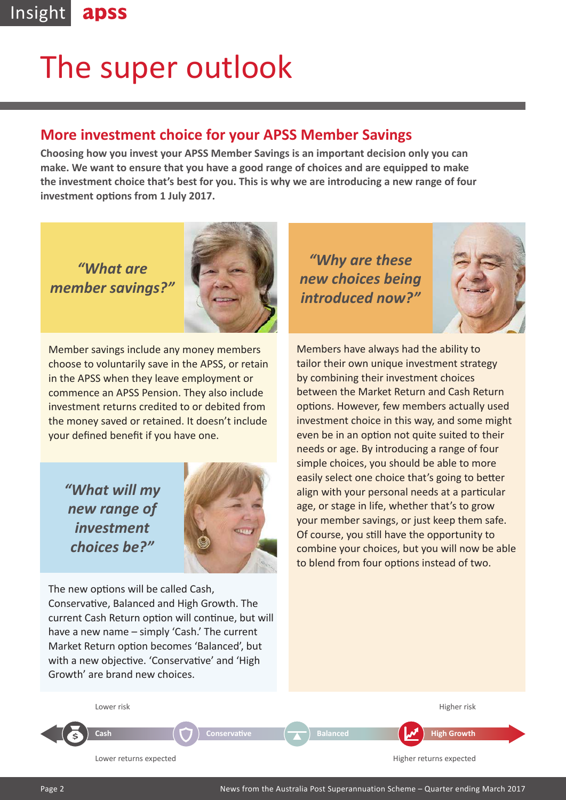## The super outlook

### **More investment choice for your APSS Member Savings**

**Choosing how you invest your APSS Member Savings is an important decision only you can make. We want to ensure that you have a good range of choices and are equipped to make the investment choice that's best for you. This is why we are introducing a new range of four investment options from 1 July 2017.**

*"What are member savings?"*



Member savings include any money members choose to voluntarily save in the APSS, or retain in the APSS when they leave employment or commence an APSS Pension. They also include investment returns credited to or debited from the money saved or retained. It doesn't include your defined benefit if you have one.

*"What will my new range of investment choices be?"*



The new options will be called Cash, Conservative, Balanced and High Growth. The current Cash Return option will continue, but will have a new name – simply 'Cash.' The current Market Return option becomes 'Balanced', but with a new objective. 'Conservative' and 'High Growth' are brand new choices.

*"Why are these new choices being introduced now?"*



Members have always had the ability to tailor their own unique investment strategy by combining their investment choices between the Market Return and Cash Return options. However, few members actually used investment choice in this way, and some might even be in an option not quite suited to their needs or age. By introducing a range of four simple choices, you should be able to more easily select one choice that's going to better align with your personal needs at a particular age, or stage in life, whether that's to grow your member savings, or just keep them safe. Of course, you still have the opportunity to combine your choices, but you will now be able to blend from four options instead of two.



**S**  $\begin{pmatrix} 0 & 0 \end{pmatrix}$  Conservative  $\begin{pmatrix} 0 & 0 \end{pmatrix}$  Balanced  $\begin{pmatrix} 0 & 0 \end{pmatrix}$  High Growth

Lower returns expected **Analyzis Equation Control of the Higher returns expected Higher returns expected**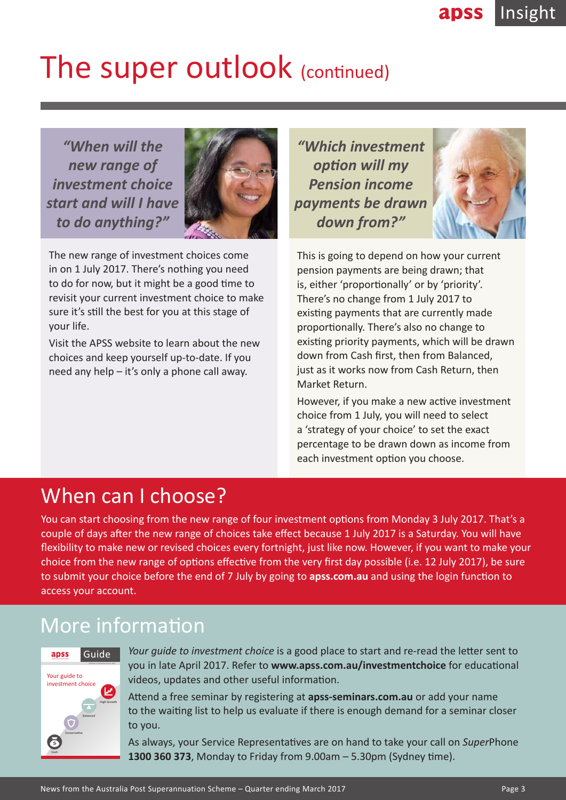## The super outlook (continued)

*"When will the new range of investment choice start and will I have to do anything?"*



The new range of investment choices come in on 1 July 2017. There's nothing you need to do for now, but it might be a good time to revisit your current investment choice to make sure it's still the best for you at this stage of your life.

Visit the APSS website to learn about the new choices and keep yourself up-to-date. If you need any help – it's only a phone call away.

*"Which investment option will my Pension income payments be drawn down from?"*



This is going to depend on how your current pension payments are being drawn; that is, either 'proportionally' or by 'priority'. There's no change from 1 July 2017 to existing payments that are currently made proportionally. There's also no change to existing priority payments, which will be drawn down from Cash first, then from Balanced, just as it works now from Cash Return, then Market Return.

However, if you make a new active investment choice from 1 July, you will need to select a 'strategy of your choice' to set the exact percentage to be drawn down as income from each investment option you choose.

## When can I choose?

You can start choosing from the new range of four investment options from Monday 3 July 2017. That's a couple of days after the new range of choices take effect because 1 July 2017 is a Saturday. You will have flexibility to make new or revised choices every fortnight, just like now. However, if you want to make your choice from the new range of options effective from the very first day possible (i.e. 12 July 2017), be sure to submit your choice before the end of 7 July by going to **apss.com.au** and using the login function to access your account.

## More information



*Your guide to investment choice* is a good place to start and re-read the letter sent to you in late April 2017. Refer to **www.apss.com.au/investmentchoice** for educational videos, updates and other useful information.

Attend a free seminar by registering at **apss-seminars.com.au** or add your name to the waiting list to help us evaluate if there is enough demand for a seminar closer to you.

As always, your Service Representatives are on hand to take your call on *Super*Phone **1300 360 373**, Monday to Friday from 9.00am – 5.30pm (Sydney time). **Cash**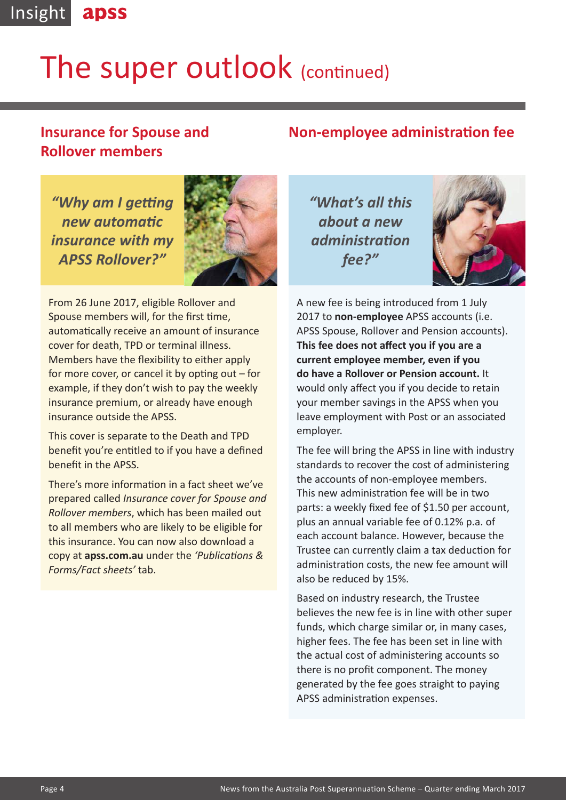#### Insight apss

## The super outlook (continued)

## **Insurance for Spouse and Rollover members**

*"Why am I getting new automatic insurance with my APSS Rollover?"*



From 26 June 2017, eligible Rollover and Spouse members will, for the first time, automatically receive an amount of insurance cover for death, TPD or terminal illness. Members have the flexibility to either apply for more cover, or cancel it by opting out – for example, if they don't wish to pay the weekly insurance premium, or already have enough insurance outside the APSS.

This cover is separate to the Death and TPD benefit you're entitled to if you have a defined benefit in the APSS.

There's more information in a fact sheet we've prepared called *Insurance cover for Spouse and Rollover members*, which has been mailed out to all members who are likely to be eligible for this insurance. You can now also download a copy at **apss.com.au** under the *'Publications & Forms/Fact sheets'* tab.

*"What's all this about a new administration fee?"*



A new fee is being introduced from 1 July 2017 to **non-employee** APSS accounts (i.e. APSS Spouse, Rollover and Pension accounts). **This fee does not affect you if you are a current employee member, even if you do have a Rollover or Pension account.** It would only affect you if you decide to retain your member savings in the APSS when you leave employment with Post or an associated employer.

**Non-employee administration fee**

The fee will bring the APSS in line with industry standards to recover the cost of administering the accounts of non-employee members. This new administration fee will be in two parts: a weekly fixed fee of \$1.50 per account, plus an annual variable fee of 0.12% p.a. of each account balance. However, because the Trustee can currently claim a tax deduction for administration costs, the new fee amount will also be reduced by 15%.

Based on industry research, the Trustee believes the new fee is in line with other super funds, which charge similar or, in many cases, higher fees. The fee has been set in line with the actual cost of administering accounts so there is no profit component. The money generated by the fee goes straight to paying APSS administration expenses.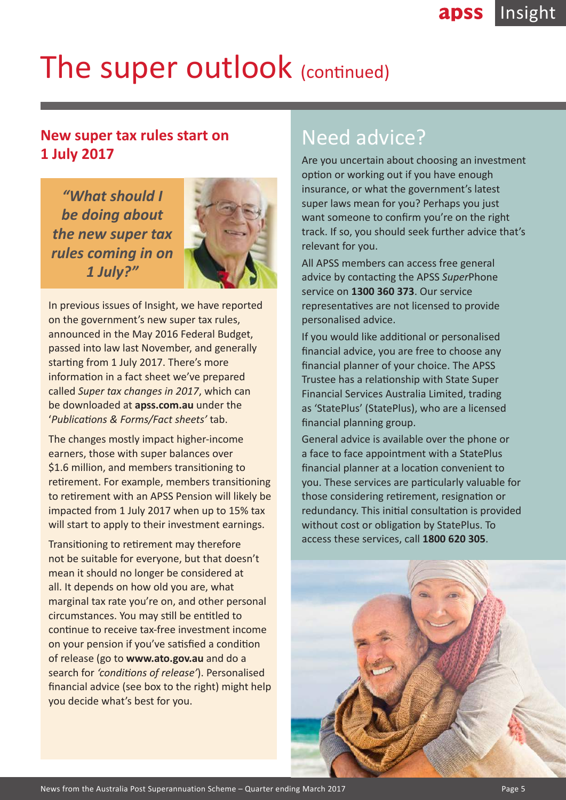## The super outlook (continued)

## **New super tax rules start on 1 July 2017**

*"What should I be doing about the new super tax rules coming in on 1 July?"*



In previous issues of Insight, we have reported on the government's new super tax rules, announced in the May 2016 Federal Budget, passed into law last November, and generally starting from 1 July 2017. There's more information in a fact sheet we've prepared called *Super tax changes in 2017*, which can be downloaded at **apss.com.au** under the '*Publications & Forms/Fact sheets'* tab.

The changes mostly impact higher-income earners, those with super balances over \$1.6 million, and members transitioning to retirement. For example, members transitioning to retirement with an APSS Pension will likely be impacted from 1 July 2017 when up to 15% tax will start to apply to their investment earnings.

Transitioning to retirement may therefore not be suitable for everyone, but that doesn't mean it should no longer be considered at all. It depends on how old you are, what marginal tax rate you're on, and other personal circumstances. You may still be entitled to continue to receive tax-free investment income on your pension if you've satisfied a condition of release (go to **www.ato.gov.au** and do a search for *'conditions of release'*). Personalised financial advice (see box to the right) might help you decide what's best for you.

## Need advice?

Are you uncertain about choosing an investment option or working out if you have enough insurance, or what the government's latest super laws mean for you? Perhaps you just want someone to confirm you're on the right track. If so, you should seek further advice that's relevant for you.

All APSS members can access free general advice by contacting the APSS *Super*Phone service on **1300 360 373**. Our service representatives are not licensed to provide personalised advice.

If you would like additional or personalised financial advice, you are free to choose any financial planner of your choice. The APSS Trustee has a relationship with State Super Financial Services Australia Limited, trading as 'StatePlus' (StatePlus), who are a licensed financial planning group.

General advice is available over the phone or a face to face appointment with a StatePlus financial planner at a location convenient to you. These services are particularly valuable for those considering retirement, resignation or redundancy. This initial consultation is provided without cost or obligation by StatePlus. To access these services, call **1800 620 305**.

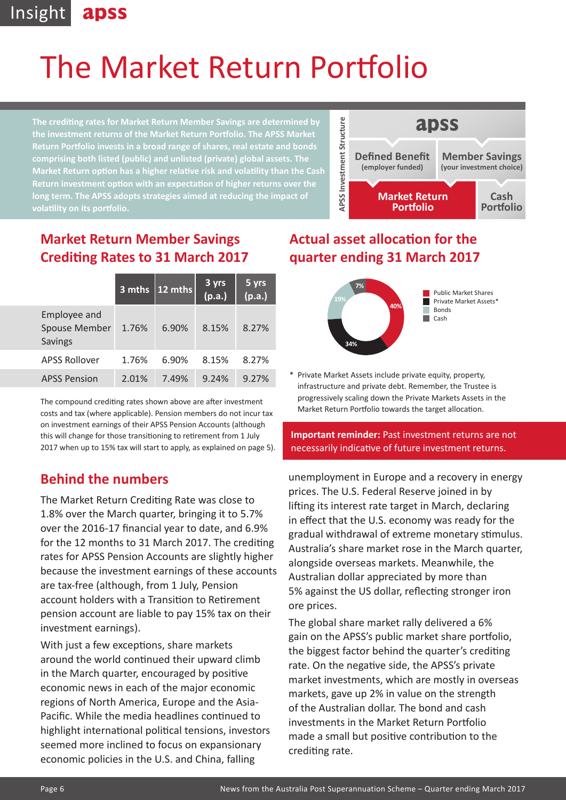#### Insight apss

## The Market Return Portfolio

**The crediting rates for Market Return Member Savings are determined by the investment returns of the Market Return Portfolio. The APSS Market Return Portfolio invests in a broad range of shares, real estate and bonds comprising both listed (public) and unlisted (private) global assets. The Market Return option has a higher relative risk and volatility than the Cash Return investment option with an expectation of higher returns over the long term. The APSS adopts strategies aimed at reducing the impact of volatility on its portfolio.**



## **Market Return Member Savings Crediting Rates to 31 March 2017**

|                                                        | 3 mths | $12 \text{ mths}$ | 3 yrs<br>(p.a.) | 5 yrs<br>(p.a.) |
|--------------------------------------------------------|--------|-------------------|-----------------|-----------------|
| Employee and<br><b>Spouse Member</b><br><b>Savings</b> | 1.76%  | 6.90%             | 8.15%           | 8.27%           |
| <b>APSS Rollover</b>                                   | 1.76%  | 6.90%             | 8.15%           | 8.27%           |
| <b>APSS Pension</b>                                    | 2.01%  | 7.49%             | 9.24%           | 9.27%           |

The compound crediting rates shown above are after investment costs and tax (where applicable). Pension members do not incur tax on investment earnings of their APSS Pension Accounts (although this will change for those transitioning to retirement from 1 July 2017 when up to 15% tax will start to apply, as explained on page 5).

## **Behind the numbers**

**Example of the Control of the Control of the Control of the Australia Point (Control of the Australia Point Control of the Australia Point Control of the Australia Point Control of the Australia Point Control of the Austr** The Market Return Crediting Rate was close to 1.8% over the March quarter, bringing it to 5.7% over the 2016-17 financial year to date, and 6.9% for the 12 months to 31 March 2017. The crediting rates for APSS Pension Accounts are slightly higher because the investment earnings of these accounts are tax-free (although, from 1 July, Pension account holders with a Transition to Retirement pension account are liable to pay 15% tax on their investment earnings).

With just a few exceptions, share markets around the world continued their upward climb in the March quarter, encouraged by positive economic news in each of the major economic regions of North America, Europe and the Asia-Pacific. While the media headlines continued to highlight international political tensions, investors seemed more inclined to focus on expansionary economic policies in the U.S. and China, falling

## **Actual asset allocation for the quarter ending 31 March 2017**



Private Market Assets include private equity, property, infrastructure and private debt. Remember, the Trustee is progressively scaling down the Private Markets Assets in the Market Return Portfolio towards the target allocation.

#### **Important reminder:** Past investment returns are not necessarily indicative of future investment returns.

unemployment in Europe and a recovery in energy prices. The U.S. Federal Reserve joined in by lifting its interest rate target in March, declaring in effect that the U.S. economy was ready for the gradual withdrawal of extreme monetary stimulus. Australia's share market rose in the March quarter, alongside overseas markets. Meanwhile, the Australian dollar appreciated by more than 5% against the US dollar, reflecting stronger iron ore prices.

The global share market rally delivered a 6% gain on the APSS's public market share portfolio, the biggest factor behind the quarter's crediting rate. On the negative side, the APSS's private market investments, which are mostly in overseas markets, gave up 2% in value on the strength of the Australian dollar. The bond and cash investments in the Market Return Portfolio made a small but positive contribution to the crediting rate.